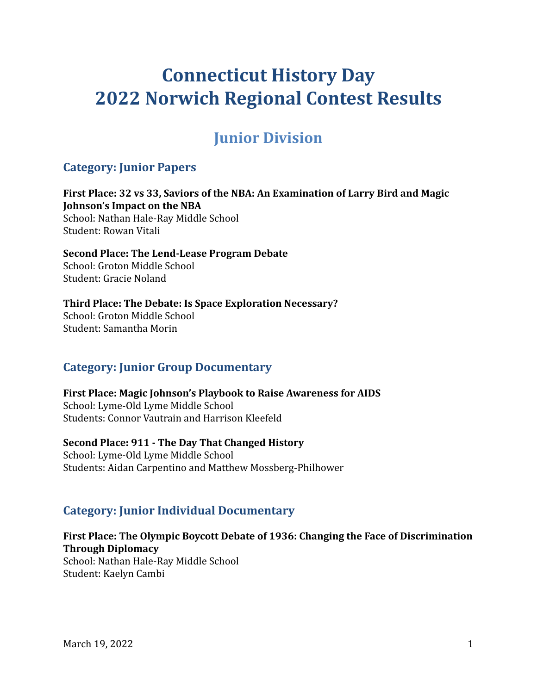# **Connecticut History Day 2022 Norwich Regional Contest Results**

## **Junior Division**

## **Category: Junior Papers**

**First Place: 32 vs 33, Saviors of the NBA: An Examination of Larry Bird and Magic Johnson's Impact on the NBA** School: Nathan Hale-Ray Middle School Student: Rowan Vitali

**Second Place: The Lend-Lease Program Debate** School: Groton Middle School Student: Gracie Noland

**Third Place: The Debate: Is Space Exploration Necessary?** School: Groton Middle School

Student: Samantha Morin

## **Category: Junior Group Documentary**

**First Place: Magic Johnson's Playbook to Raise Awareness for AIDS** School: Lyme-Old Lyme Middle School Students: Connor Vautrain and Harrison Kleefeld

**Second Place: 911 - The Day That Changed History** School: Lyme-Old Lyme Middle School Students: Aidan Carpentino and Matthew Mossberg-Philhower

## **Category: Junior Individual Documentary**

## **First Place: The Olympic Boycott Debate of 1936: Changing the Face of Discrimination Through Diplomacy**

School: Nathan Hale-Ray Middle School Student: Kaelyn Cambi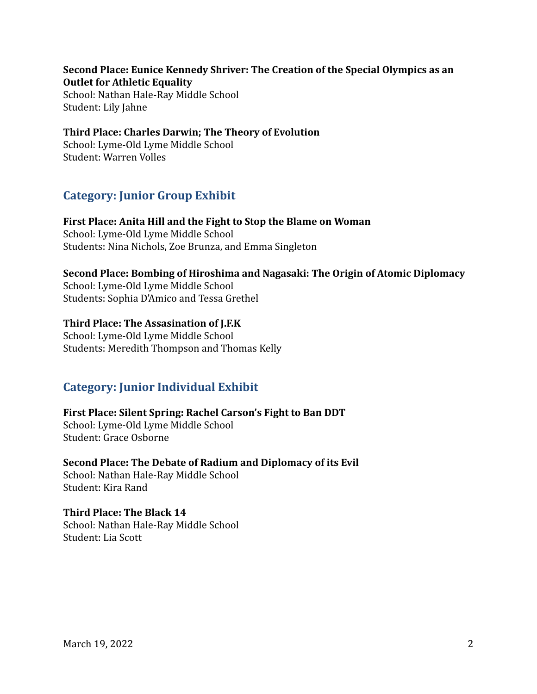**Second Place: Eunice Kennedy Shriver: The Creation of the Special Olympics as an Outlet for Athletic Equality** School: Nathan Hale-Ray Middle School Student: Lily Jahne

**Third Place: Charles Darwin; The Theory of Evolution** School: Lyme-Old Lyme Middle School Student: Warren Volles

## **Category: Junior Group Exhibit**

**First Place: Anita Hill and the Fight to Stop the Blame on Woman** School: Lyme-Old Lyme Middle School Students: Nina Nichols, Zoe Brunza, and Emma Singleton

#### **Second Place: Bombing of Hiroshima and Nagasaki: The Origin of Atomic Diplomacy**

School: Lyme-Old Lyme Middle School Students: Sophia D'Amico and Tessa Grethel

#### **Third Place: The Assasination of J.F.K**

School: Lyme-Old Lyme Middle School Students: Meredith Thompson and Thomas Kelly

## **Category: Junior Individual Exhibit**

**First Place: Silent Spring: Rachel Carson's Fight to Ban DDT** School: Lyme-Old Lyme Middle School Student: Grace Osborne

**Second Place: The Debate of Radium and Diplomacy of its Evil** School: Nathan Hale-Ray Middle School Student: Kira Rand

**Third Place: The Black 14** School: Nathan Hale-Ray Middle School Student: Lia Scott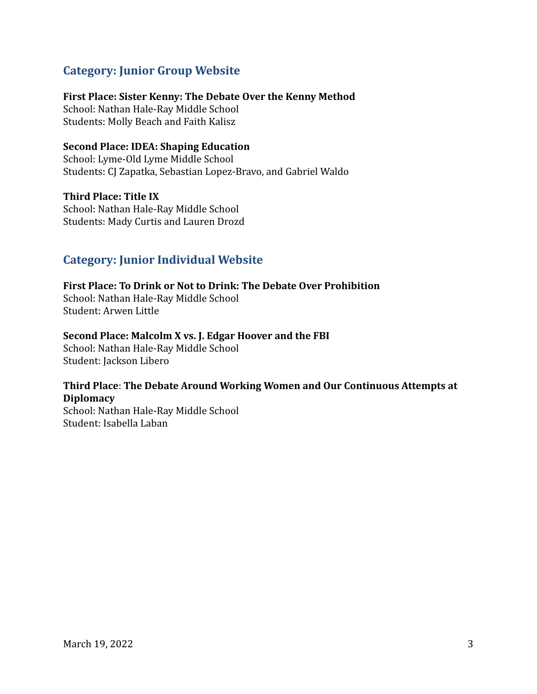## **Category: Junior Group Website**

#### **First Place: Sister Kenny: The Debate Over the Kenny Method**

School: Nathan Hale-Ray Middle School Students: Molly Beach and Faith Kalisz

#### **Second Place: IDEA: Shaping Education**

School: Lyme-Old Lyme Middle School Students: CJ Zapatka, Sebastian Lopez-Bravo, and Gabriel Waldo

**Third Place: Title IX** School: Nathan Hale-Ray Middle School Students: Mady Curtis and Lauren Drozd

## **Category: Junior Individual Website**

**First Place: To Drink or Not to Drink: The Debate Over Prohibition** School: Nathan Hale-Ray Middle School Student: Arwen Little

#### **Second Place: Malcolm X vs. J. Edgar Hoover and the FBI**

School: Nathan Hale-Ray Middle School Student: Jackson Libero

#### **Third Place**: **The Debate Around Working Women and Our Continuous Attempts at Diplomacy**

School: Nathan Hale-Ray Middle School Student: Isabella Laban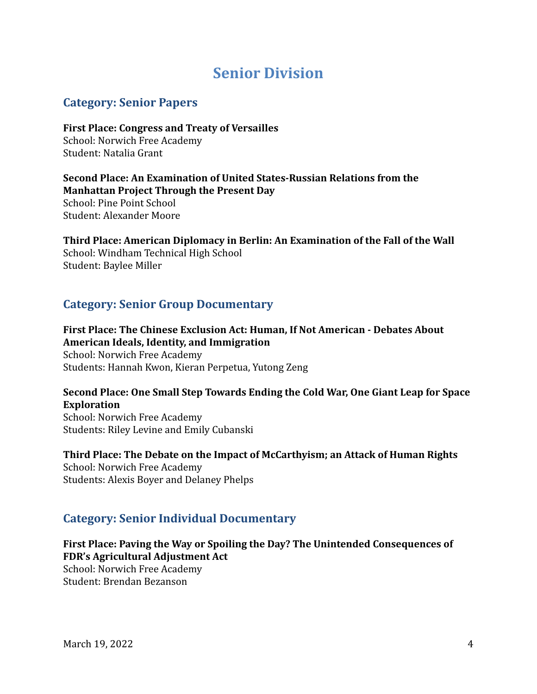## **Senior Division**

## **Category: Senior Papers**

**First Place: Congress and Treaty of Versailles** School: Norwich Free Academy Student: Natalia Grant

**Second Place: An Examination of United States-Russian Relations from the Manhattan Project Through the Present Day** School: Pine Point School Student: Alexander Moore

**Third Place: American Diplomacy in Berlin: An Examination of the Fall of the Wall** School: Windham Technical High School Student: Baylee Miller

## **Category: Senior Group Documentary**

**First Place: The Chinese Exclusion Act: Human, If Not American - Debates About American Ideals, Identity, and Immigration** School: Norwich Free Academy Students: Hannah Kwon, Kieran Perpetua, Yutong Zeng

## **Second Place: One Small Step Towards Ending the Cold War, One Giant Leap for Space Exploration**

School: Norwich Free Academy Students: Riley Levine and Emily Cubanski

**Third Place: The Debate on the Impact of McCarthyism; an Attack of Human Rights** School: Norwich Free Academy Students: Alexis Boyer and Delaney Phelps

#### **Category: Senior Individual Documentary**

**First Place: Paving the Way or Spoiling the Day? The Unintended Consequences of FDR's Agricultural Adjustment Act**

School: Norwich Free Academy Student: Brendan Bezanson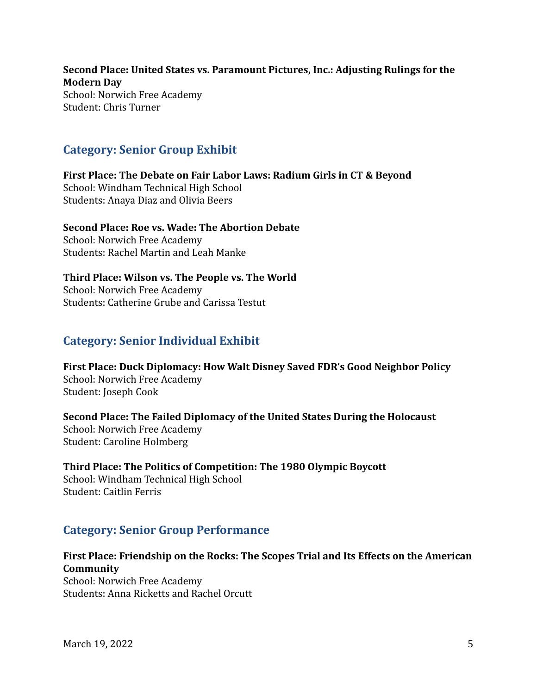**Second Place: United States vs. Paramount Pictures, Inc.: Adjusting Rulings for the Modern Day** School: Norwich Free Academy Student: Chris Turner

## **Category: Senior Group Exhibit**

**First Place: The Debate on Fair Labor Laws: Radium Girls in CT & Beyond** School: Windham Technical High School Students: Anaya Diaz and Olivia Beers

## **Second Place: Roe vs. Wade: The Abortion Debate**

School: Norwich Free Academy Students: Rachel Martin and Leah Manke

**Third Place: Wilson vs. The People vs. The World** School: Norwich Free Academy Students: Catherine Grube and Carissa Testut

## **Category: Senior Individual Exhibit**

**First Place: Duck Diplomacy: How Walt Disney Saved FDR's Good Neighbor Policy** School: Norwich Free Academy Student: Joseph Cook

**Second Place: The Failed Diplomacy of the United States During the Holocaust** School: Norwich Free Academy Student: Caroline Holmberg

**Third Place: The Politics of Competition: The 1980 Olympic Boycott** School: Windham Technical High School Student: Caitlin Ferris

## **Category: Senior Group Performance**

**First Place: Friendship on the Rocks: The Scopes Trial and Its Effects on the American Community**

School: Norwich Free Academy Students: Anna Ricketts and Rachel Orcutt